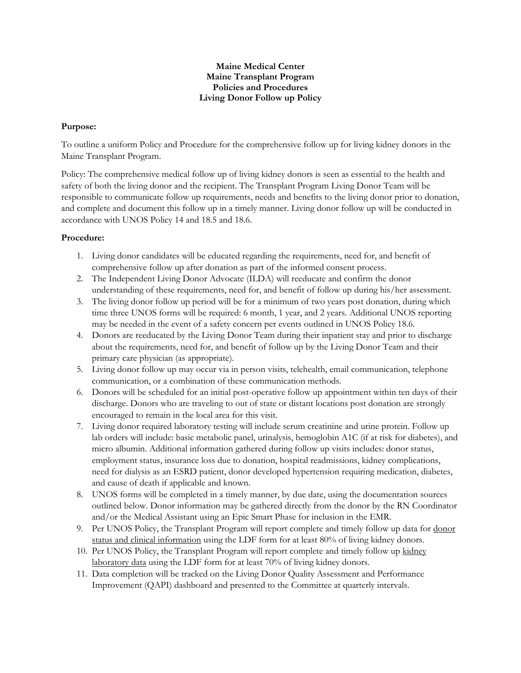#### **Maine Medical Center Maine Transplant Program Policies and Procedures Living Donor Follow up Policy**

### **Purpose:**

To outline a uniform Policy and Procedure for the comprehensive follow up for living kidney donors in the Maine Transplant Program.

Policy: The comprehensive medical follow up of living kidney donors is seen as essential to the health and safety of both the living donor and the recipient. The Transplant Program Living Donor Team will be responsible to communicate follow up requirements, needs and benefits to the living donor prior to donation, and complete and document this follow up in a timely manner. Living donor follow up will be conducted in accordance with UNOS Policy 14 and 18.5 and 18.6.

### **Procedure:**

- 1. Living donor candidates will be educated regarding the requirements, need for, and benefit of comprehensive follow up after donation as part of the informed consent process.
- 2. The Independent Living Donor Advocate (ILDA) will reeducate and confirm the donor understanding of these requirements, need for, and benefit of follow up during his/her assessment.
- 3. The living donor follow up period will be for a minimum of two years post donation, during which time three UNOS forms will be required: 6 month, 1 year, and 2 years. Additional UNOS reporting may be needed in the event of a safety concern per events outlined in UNOS Policy 18.6.
- 4. Donors are reeducated by the Living Donor Team during their inpatient stay and prior to discharge about the requirements, need for, and benefit of follow up by the Living Donor Team and their primary care physician (as appropriate).
- 5. Living donor follow up may occur via in person visits, telehealth, email communication, telephone communication, or a combination of these communication methods.
- 6. Donors will be scheduled for an initial post-operative follow up appointment within ten days of their discharge. Donors who are traveling to out of state or distant locations post donation are strongly encouraged to remain in the local area for this visit.
- 7. Living donor required laboratory testing will include serum creatinine and urine protein. Follow up lab orders will include: basic metabolic panel, urinalysis, hemoglobin A1C (if at risk for diabetes), and micro albumin. Additional information gathered during follow up visits includes: donor status, employment status, insurance loss due to donation, hospital readmissions, kidney complications, need for dialysis as an ESRD patient, donor developed hypertension requiring medication, diabetes, and cause of death if applicable and known.
- 8. UNOS forms will be completed in a timely manner, by due date, using the documentation sources outlined below. Donor information may be gathered directly from the donor by the RN Coordinator and/or the Medical Assistant using an Epic Smart Phase for inclusion in the EMR.
- 9. Per UNOS Policy, the Transplant Program will report complete and timely follow up data for donor status and clinical information using the LDF form for at least 80% of living kidney donors.
- 10. Per UNOS Policy, the Transplant Program will report complete and timely follow up kidney laboratory data using the LDF form for at least 70% of living kidney donors.
- 11. Data completion will be tracked on the Living Donor Quality Assessment and Performance Improvement (QAPI) dashboard and presented to the Committee at quarterly intervals.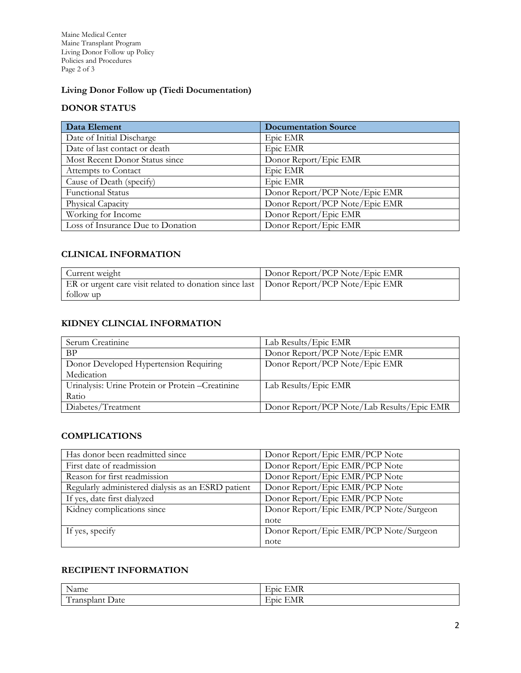Maine Medical Center Maine Transplant Program Living Donor Follow up Policy Policies and Procedures Page 2 of 3

# **Living Donor Follow up (Tiedi Documentation)**

## **DONOR STATUS**

| Data Element                      | <b>Documentation Source</b>    |
|-----------------------------------|--------------------------------|
| Date of Initial Discharge         | Epic EMR                       |
| Date of last contact or death     | Epic EMR                       |
| Most Recent Donor Status since    | Donor Report/Epic EMR          |
| Attempts to Contact               | Epic EMR                       |
| Cause of Death (specify)          | Epic EMR                       |
| <b>Functional Status</b>          | Donor Report/PCP Note/Epic EMR |
| Physical Capacity                 | Donor Report/PCP Note/Epic EMR |
| Working for Income                | Donor Report/Epic EMR          |
| Loss of Insurance Due to Donation | Donor Report/Epic EMR          |

### **CLINICAL INFORMATION**

| Current weight                                                                        | Donor Report/PCP Note/Epic EMR |
|---------------------------------------------------------------------------------------|--------------------------------|
| ER or urgent care visit related to donation since last Donor Report/PCP Note/Epic EMR |                                |
| follow up                                                                             |                                |

## **KIDNEY CLINCIAL INFORMATION**

| Serum Creatinine                                  | Lab Results/Epic EMR                       |
|---------------------------------------------------|--------------------------------------------|
| <b>BP</b>                                         | Donor Report/PCP Note/Epic EMR             |
| Donor Developed Hypertension Requiring            | Donor Report/PCP Note/Epic EMR             |
| Medication                                        |                                            |
| Urinalysis: Urine Protein or Protein - Creatinine | Lab Results/Epic EMR                       |
| Ratio                                             |                                            |
| Diabetes/Treatment                                | Donor Report/PCP Note/Lab Results/Epic EMR |

### **COMPLICATIONS**

| Has donor been readmitted since                    | Donor Report/Epic EMR/PCP Note         |
|----------------------------------------------------|----------------------------------------|
| First date of readmission                          | Donor Report/Epic EMR/PCP Note         |
| Reason for first readmission                       | Donor Report/Epic EMR/PCP Note         |
| Regularly administered dialysis as an ESRD patient | Donor Report/Epic EMR/PCP Note         |
| If yes, date first dialyzed                        | Donor Report/Epic EMR/PCP Note         |
| Kidney complications since                         | Donor Report/Epic EMR/PCP Note/Surgeon |
|                                                    | note                                   |
| If yes, specify                                    | Donor Report/Epic EMR/PCP Note/Surgeon |
|                                                    | note                                   |

## **RECIPIENT INFORMATION**

| $\mathbf{A}$<br>Name                                               | ---<br>.01C<br>. <b>.</b> . |
|--------------------------------------------------------------------|-----------------------------|
| <b>PP</b><br>Jate<br>$\sim$<br>$140.5$ $150.63$<br>1 rahspian<br>- | nC<br>_____________         |